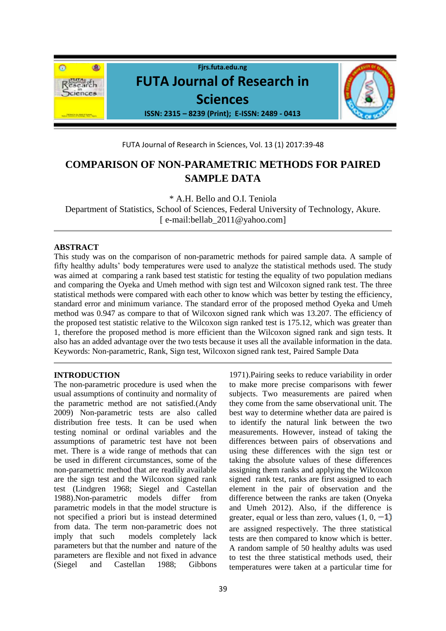

FUTA Journal of Research in Sciences, Vol. 13 (1) 2017:39-48

# **COMPARISON OF NON-PARAMETRIC METHODS FOR PAIRED SAMPLE DATA**

\* A.H. Bello and O.I. Teniola

Department of Statistics, School of Sciences, Federal University of Technology, Akure. [ e-mail:bellab 2011@yahoo.com]

## **ABSTRACT**

This study was on the comparison of non-parametric methods for paired sample data. A sample of fifty healthy adults' body temperatures were used to analyze the statistical methods used. The study was aimed at comparing a rank based test statistic for testing the equality of two population medians and comparing the Oyeka and Umeh method with sign test and Wilcoxon signed rank test. The three statistical methods were compared with each other to know which was better by testing the efficiency, standard error and minimum variance. The standard error of the proposed method Oyeka and Umeh method was 0.947 as compare to that of Wilcoxon signed rank which was 13.207. The efficiency of the proposed test statistic relative to the Wilcoxon sign ranked test is 175.12, which was greater than 1, therefore the proposed method is more efficient than the Wilcoxon signed rank and sign tests. It also has an added advantage over the two tests because it uses all the available information in the data. Keywords: Non-parametric, Rank, Sign test, Wilcoxon signed rank test, Paired Sample Data

## **INTRODUCTION**

The non-parametric procedure is used when the usual assumptions of continuity and normality of the parametric method are not satisfied.(Andy 2009) Non-parametric tests are also called distribution free tests. It can be used when testing nominal or ordinal variables and the assumptions of parametric test have not been met. There is a wide range of methods that can be used in different circumstances, some of the non-parametric method that are readily available are the sign test and the Wilcoxon signed rank test (Lindgren 1968; Siegel and Castellan 1988).Non-parametric models differ from parametric models in that the model structure is not specified a priori but is instead determined from data. The term non-parametric does not imply that such models completely lack parameters but that the number and nature of the parameters are flexible and not fixed in advance (Siegel and Castellan 1988; Gibbons

1971).Pairing seeks to reduce variability in order to make more precise comparisons with fewer subjects. Two measurements are paired when they come from the same observational unit. The best way to determine whether data are paired is to identify the natural link between the two measurements. However, instead of taking the differences between pairs of observations and using these differences with the sign test or taking the absolute values of these differences assigning them ranks and applying the Wilcoxon signed rank test, ranks are first assigned to each element in the pair of observation and the difference between the ranks are taken (Onyeka and Umeh 2012). Also, if the difference is greater, equal or less than zero, values  $(1, 0, -1)$ are assigned respectively. The three statistical tests are then compared to know which is better. A random sample of 50 healthy adults was used to test the three statistical methods used, their temperatures were taken at a particular time for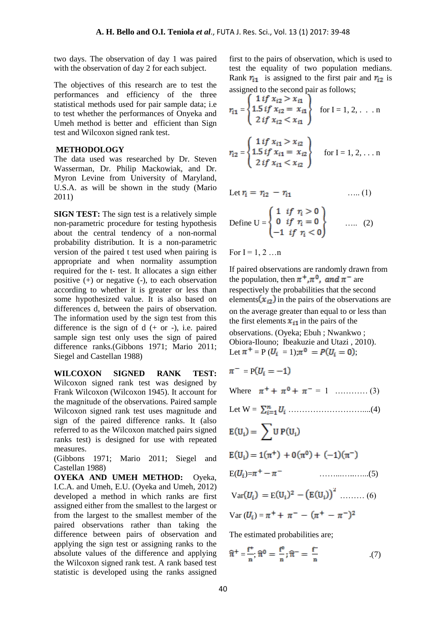two days. The observation of day 1 was paired with the observation of day 2 for each subject.

The objectives of this research are to test the performances and efficiency of the three statistical methods used for pair sample data; i.e to test whether the performances of Onyeka and Umeh method is better and efficient than Sign test and Wilcoxon signed rank test.

#### **METHODOLOGY**

The data used was researched by Dr. Steven Wasserman, Dr. Philip Mackowiak, and Dr. Myron Levine from University of Maryland, U.S.A. as will be shown in the study (Mario 2011)

**SIGN TEST:** The sign test is a relatively simple non-parametric procedure for testing hypothesis about the central tendency of a non-normal probability distribution. It is a non-parametric version of the paired t test used when pairing is appropriate and when normality assumption required for the t- test. It allocates a sign either positive (+) or negative (-), to each observation according to whether it is greater or less than some hypothesized value. It is also based on differences d, between the pairs of observation. The information used by the sign test from this difference is the sign of  $d$  (+ or -), i.e. paired sample sign test only uses the sign of paired difference ranks.(Gibbons 1971; Mario 2011; Siegel and Castellan 1988)

**WILCOXON SIGNED RANK TEST:** Wilcoxon signed rank test was designed by Frank Wilcoxon (Wilcoxon 1945). It account for the magnitude of the observations. Paired sample Wilcoxon signed rank test uses magnitude and sign of the paired difference ranks. It (also referred to as the Wilcoxon matched pairs signed ranks test) is designed for use with repeated measures.

(Gibbons 1971; Mario 2011; Siegel and Castellan 1988)

**OYEKA AND UMEH METHOD:** Oyeka, I.C.A. and Umeh, E.U. (Oyeka and Umeh, 2012) developed a method in which ranks are first assigned either from the smallest to the largest or from the largest to the smallest member of the paired observations rather than taking the difference between pairs of observation and applying the sign test or assigning ranks to the absolute values of the difference and applying the Wilcoxon signed rank test. A rank based test statistic is developed using the ranks assigned first to the pairs of observation, which is used to test the equality of two population medians. Rank  $r_{i1}$  is assigned to the first pair and  $r_{i2}$  is assigned to the second pair as follows;

$$
r_{i1} = \begin{cases} 1 \text{ if } x_{i2} > x_{i1} \\ 1.5 \text{ if } x_{i2} = x_{i1} \\ 2 \text{ if } x_{i2} < x_{i1} \end{cases} \text{ for } I = 1, 2, ... n
$$

$$
r_{i2} = \begin{cases} 1 \text{ if } x_{i1} > x_{i2} \\ 1.5 \text{ if } x_{i1} = x_{i2} \\ 2 \text{ if } x_{i1} < x_{i2} \end{cases} \text{ for } I = 1, 2, ... n
$$

Let ….. (1)

Define 
$$
U = \begin{cases} 1 & \text{if } r_i > 0 \\ 0 & \text{if } r_i = 0 \\ -1 & \text{if } r_i < 0 \end{cases}
$$
 ...... (2)

For  $I = 1, 2, \ldots n$ 

If paired observations are randomly drawn from the population, then  $\pi^+$ ,  $\pi^0$ , and  $\pi^-$  are respectively the probabilities that the second elements  $(x_{i2})$  in the pairs of the observations are on the average greater than equal to or less than the first elements  $x_{i1}$  in the pairs of the observations. (Oyeka; Ebuh ; Nwankwo ; Obiora-Ilouno; Ibeakuzie and Utazi , 2010). Let  $\pi^+ = P (U_i = 1) \pi^0 = P (U_i = 0);$ 

$$
\pi^- = P(U_i = -1)
$$

Where  $\pi^+ + \pi^0 + \pi^- = 1$  ………… (3)

Let 
$$
W = \sum_{i=1}^{n} U_i
$$
 ....... (4)

$$
E(U_i) = \sum U P(U_i)
$$
  

$$
E(U_i) = 1(\pi^+) + 0(\pi^0) + (-1)(\pi^-)
$$

$$
E(U_i) = 1(\pi^+) + 0(\pi^0) + (-1)(\pi^-)
$$

$$
E(U_i)=\pi^+ - \pi^- \qquad \qquad \ldots \ldots \ldots \ldots \ldots (5)
$$

Var(
$$
U_i
$$
) = E( $U_i$ )<sup>2</sup> - (E( $U_i$ ))<sup>2</sup> ......... (6)

Var 
$$
(U_i) = \pi^+ + \pi^- - (\pi^+ - \pi^-)^2
$$

The estimated probabilities are;

$$
\widehat{\pi}^+ = \frac{f^+}{n}, \widehat{\pi}^0 = \frac{f^0}{n}; \widehat{\pi}^- = \frac{f^-}{n} \tag{7}
$$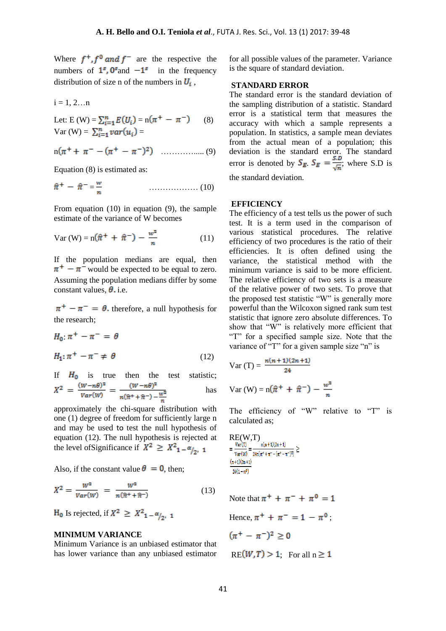Where  $f^+, f^0$  and  $f^-$  are the respective the numbers of  $1^s$ ,  $0^s$  and  $-1^s$  in the frequency distribution of size n of the numbers in  $U_i$ ,

$$
i = 1, 2...n
$$

Let: E (W) =  $\sum_{i=1}^{n} E(U_i) = n(\pi^+ - \pi^-)$  (8) Var (W) =  $\sum_{i=1}^{n} var(u_i)$  =

$$
n(\pi^+ + \pi^- - (\pi^+ - \pi^-)^2)
$$
 ....... (9)

Equation (8) is estimated as:

$$
\hat{\pi}^+ - \hat{\pi}^- = \frac{w}{n} \tag{10}
$$

From equation (10) in equation (9), the sample estimate of the variance of W becomes

Var (W) = 
$$
n(\hat{\pi}^+ + \hat{\pi}^-) - \frac{w^2}{n}
$$
 (11)

If the population medians are equal, then  $\pi^+$  –  $\pi^-$  would be expected to be equal to zero. Assuming the population medians differ by some constant values,  $\theta$ , i.e.

 $\pi^+ - \pi^- = \theta$ , therefore, a null hypothesis for the research;

$$
H_0: \pi^+ - \pi^- = \theta
$$
  

$$
H_1: \pi^+ - \pi^- \neq \theta
$$
 (12)

If  $H_0$  is true then the test statistic;<br>  $X^2 = \frac{(w-n\theta)^2}{var(w)} = \frac{(w-n\theta)^2}{n(\hat{\pi}^+ + \hat{\pi}^-) - \frac{w^2}{n}}$  has has

approximately the chi-square distribution with one (1) degree of freedom for sufficiently large n and may be used to test the null hypothesis of equation (12). The null hypothesis is rejected at the level of Significance if  $X^2 \geq X^2_{1-\alpha/2,1}$ 

Also, if the constant value  $\theta = 0$ , then;

$$
X^{2} = \frac{W^{2}}{Var(W)} = \frac{W^{2}}{n(\hat{\pi}^{+} + \hat{\pi}^{-})}
$$
(13)

 $H_0$  Is rejected, if  $X^2 \geq X^2_{1-\alpha/2}$ , 1

#### **MINIMUM VARIANCE**

Minimum Variance is an unbiased estimator that has lower variance than any unbiased estimator for all possible values of the parameter. Variance is the square of standard deviation.

#### **STANDARD ERROR**

The standard error is the standard deviation of the sampling distribution of a statistic. Standard error is a statistical term that measures the accuracy with which a sample represents a population. In statistics, a sample mean deviates from the actual mean of a population; this deviation is the standard error. The standard error is denoted by  $S_E$ .  $S_E = \frac{S_E}{\sqrt{S_E}}$ ; where S.D is the standard deviation.

#### **EFFICIENCY**

The efficiency of a test tells us the power of such test. It is a term used in the comparison of various statistical procedures. The relative efficiency of two procedures is the ratio of their efficiencies. It is often defined using the variance, the statistical method with the minimum variance is said to be more efficient. The relative efficiency of two sets is a measure of the relative power of two sets. To prove that the proposed test statistic "W" is generally more powerful than the Wilcoxon signed rank sum test statistic that ignore zero absolute differences. To show that "W" is relatively more efficient that "T" for a specified sample size. Note that the variance of "T" for a given sample size "n" is

Var (T) = 
$$
\frac{n(n+1)(2n+1)}{24}
$$
  
Var (W) =  $n(\hat{\pi}^+ + \hat{\pi}^-) - \frac{w^2}{n}$ 

The efficiency of "W" relative to "T" is calculated as;

 $\begin{array}{l} \displaystyle{ {\rm RE}(W,T) \over {\rm Var}(\textit{\textbf{T}}) } = \frac{{\rm Var}(\textit{\textbf{T}})}{2 {\rm ar}(\pi^+ + \pi^- - (\pi^+ - \pi^-)^2)} \geq \\ \end{array}$  $(n+1)(2n+1)$  $24(1-\pi^0)$ 

Note that  $\pi^{+} + \pi^{-} + \pi^{0} = 1$ Hence,  $\pi^+ + \pi^- = 1 - \pi^0$ ;  $(\pi^+ - \pi^-)^2 > 0$  $RE(W, T) > 1$ ; For all  $n \ge 1$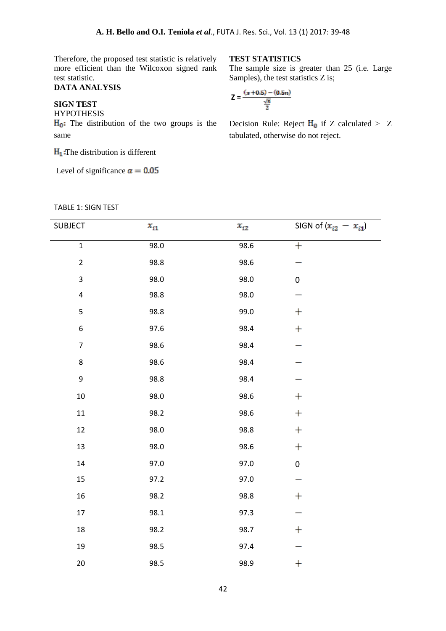Therefore, the proposed test statistic is relatively more efficient than the Wilcoxon signed rank test statistic.

# **DATA ANALYSIS**

# **SIGN TEST**

HYPOTHESIS

 $H_0$ : The distribution of the two groups is the same

 $H_1$ : The distribution is different

Level of significance  $\alpha = 0.05$ 

#### **TEST STATISTICS**

The sample size is greater than 25 (i.e. Large Samples), the test statistics Z is;

$$
Z = \frac{(x+0.5) - (0.5n)}{\frac{\sqrt{n}}{2}}
$$

Decision Rule: Reject  $H_0$  if Z calculated > Z tabulated, otherwise do not reject.

# TABLE 1: SIGN TEST

| <b>SUBJECT</b>   | $x_{i1}$ | $x_{i2}$ | SIGN of $(x_{i2} - x_{i1})$ |
|------------------|----------|----------|-----------------------------|
|                  |          |          |                             |
| $\mathbf 1$      | 98.0     | 98.6     | $^{+}$                      |
| $\mathbf 2$      | 98.8     | 98.6     |                             |
| $\mathbf{3}$     | 98.0     | 98.0     | 0                           |
| $\pmb{4}$        | 98.8     | 98.0     |                             |
| $\mathsf S$      | 98.8     | 99.0     | $\boldsymbol{+}$            |
| $\boldsymbol{6}$ | 97.6     | 98.4     | $\ddag$                     |
| $\overline{7}$   | 98.6     | 98.4     |                             |
| 8                | 98.6     | 98.4     |                             |
| 9                | 98.8     | 98.4     |                             |
| $10\,$           | 98.0     | 98.6     | $\boldsymbol{+}$            |
| $11\,$           | 98.2     | 98.6     | $\boldsymbol{+}$            |
| 12               | 98.0     | 98.8     | $\boldsymbol{+}$            |
| 13               | 98.0     | 98.6     | $\boldsymbol{+}$            |
| 14               | 97.0     | 97.0     | $\pmb{0}$                   |
| 15               | 97.2     | 97.0     |                             |
| 16               | 98.2     | 98.8     | $\pm$                       |
| $17\,$           | 98.1     | 97.3     |                             |
| 18               | 98.2     | 98.7     | $\pm$                       |
| 19               | 98.5     | 97.4     |                             |
| 20               | 98.5     | 98.9     | $\pm$                       |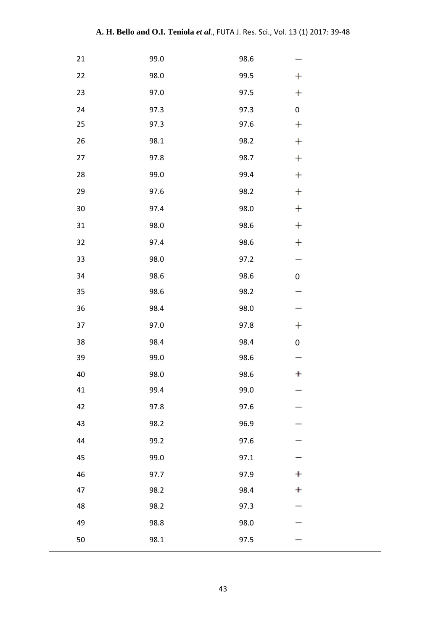| 21     | 99.0 | 98.6 |                  |
|--------|------|------|------------------|
| 22     | 98.0 | 99.5 | $\pm$            |
| 23     | 97.0 | 97.5 | $\pm$            |
| 24     | 97.3 | 97.3 | $\pmb{0}$        |
| 25     | 97.3 | 97.6 | $\ddagger$       |
| 26     | 98.1 | 98.2 | $\pm$            |
| 27     | 97.8 | 98.7 | $\ddot{}$        |
| 28     | 99.0 | 99.4 | $\pm$            |
| 29     | 97.6 | 98.2 | $\pm$            |
| $30\,$ | 97.4 | 98.0 | $\pm$            |
| 31     | 98.0 | 98.6 | $\pm$            |
| 32     | 97.4 | 98.6 | $\pm$            |
| 33     | 98.0 | 97.2 |                  |
| 34     | 98.6 | 98.6 | $\mathbf 0$      |
| 35     | 98.6 | 98.2 |                  |
| 36     | 98.4 | 98.0 |                  |
| 37     | 97.0 | 97.8 | $\pm$            |
| 38     | 98.4 | 98.4 | $\boldsymbol{0}$ |
| 39     | 99.0 | 98.6 |                  |
| 40     | 98.0 | 98.6 | $\ddagger$       |
| 41     | 99.4 | 99.0 |                  |
| 42     | 97.8 | 97.6 |                  |
| 43     | 98.2 | 96.9 |                  |
| 44     | 99.2 | 97.6 |                  |
| 45     | 99.0 | 97.1 |                  |
| 46     | 97.7 | 97.9 | $\ddot{}$        |
| 47     | 98.2 | 98.4 | $\bf{+}$         |
| 48     | 98.2 | 97.3 |                  |
| 49     | 98.8 | 98.0 |                  |
| 50     | 98.1 | 97.5 |                  |
|        |      |      |                  |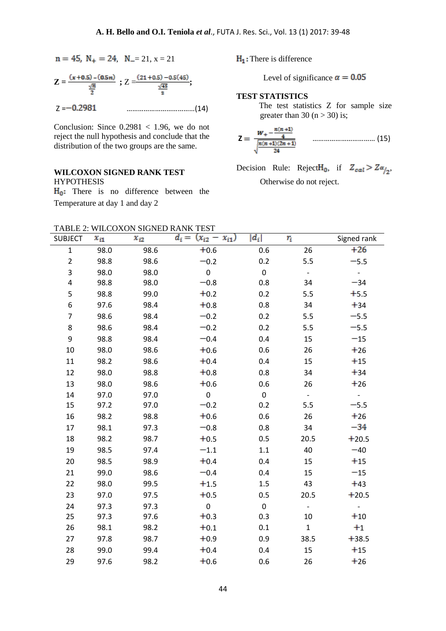$$
n = 45, N_{+} = 24, N_{-} = 21, x = 21
$$

$$
Z = \frac{(x+0.5) - (0.5n)}{\frac{\sqrt{n}}{2}}; Z = \frac{(21+0.5) - 0.5(45)}{\frac{\sqrt{45}}{2}};
$$
  

$$
Z = -0.2981
$$

Conclusion: Since  $0.2981 < 1.96$ , we do not reject the null hypothesis and conclude that the distribution of the two groups are the same.

# **WILCOXON SIGNED RANK TEST** HYPOTHESIS

 $H_0$ : There is no difference between the Temperature at day 1 and day 2

 $H_1$ : There is difference

Level of significance  $\alpha = 0.05$ 

**TEST STATISTICS**

 The test statistics Z for sample size greater than 30  $(n > 30)$  is;

$$
Z = \frac{W_+ - \frac{n(n+1)}{4}}{\sqrt{\frac{n(n+1)(2n+1)}{24}}} \qquad \qquad \dots \dots \dots \dots \dots \dots \dots \dots \dots \dots \tag{15}
$$

Decision Rule: Reject $H_0$ , if  $Z_{cal} > Z\alpha_{12}$ , Otherwise do not reject.

| SUBJECT        | $x_{i1}$ | $x_{i2}$ | $d_i =$<br>$(x_{i2} - x_{i1})$ | $ d_i $          | $r_i\,$     | Signed rank    |
|----------------|----------|----------|--------------------------------|------------------|-------------|----------------|
| $\mathbf{1}$   | 98.0     | 98.6     | $+0.6$                         | 0.6              | 26          | $+26$          |
| $\overline{2}$ | 98.8     | 98.6     | $-0.2$                         | 0.2              | 5.5         | $-5.5$         |
| 3              | 98.0     | 98.0     | $\mathbf 0$                    | $\pmb{0}$        | $\equiv$    | $\blacksquare$ |
| 4              | 98.8     | 98.0     | $-0.8$                         | 0.8              | 34          | $-34$          |
| 5              | 98.8     | 99.0     | $+0.2$                         | 0.2              | 5.5         | $+5.5$         |
| 6              | 97.6     | 98.4     | $+0.8$                         | 0.8              | 34          | $+34$          |
| $\overline{7}$ | 98.6     | 98.4     | $-0.2$                         | 0.2              | 5.5         | $-5.5$         |
| 8              | 98.6     | 98.4     | $-0.2$                         | 0.2              | 5.5         | $-5.5$         |
| 9              | 98.8     | 98.4     | $-0.4$                         | 0.4              | 15          | $-15$          |
| 10             | 98.0     | 98.6     | $+0.6$                         | 0.6              | 26          | $+26$          |
| 11             | 98.2     | 98.6     | $+0.4$                         | 0.4              | 15          | $+15$          |
| 12             | 98.0     | 98.8     | $+0.8$                         | 0.8              | 34          | $+34$          |
| 13             | 98.0     | 98.6     | $+0.6$                         | 0.6              | 26          | $+26$          |
| 14             | 97.0     | 97.0     | $\pmb{0}$                      | $\pmb{0}$        |             |                |
| 15             | 97.2     | 97.0     | $-0.2$                         | 0.2              | 5.5         | $-5.5$         |
| 16             | 98.2     | 98.8     | $+0.6$                         | 0.6              | 26          | $+26$          |
| 17             | 98.1     | 97.3     | $-0.8$                         | 0.8              | 34          | $-34$          |
| 18             | 98.2     | 98.7     | $+0.5$                         | 0.5              | 20.5        | $+20.5$        |
| 19             | 98.5     | 97.4     | $-1.1$                         | $1.1\,$          | 40          | $-40$          |
| 20             | 98.5     | 98.9     | $+0.4$                         | 0.4              | 15          | $+15$          |
| 21             | 99.0     | 98.6     | $-0.4$                         | 0.4              | 15          | $-15$          |
| 22             | 98.0     | 99.5     | $+1.5$                         | 1.5              | 43          | $+43$          |
| 23             | 97.0     | 97.5     | $+0.5$                         | 0.5              | 20.5        | $+20.5$        |
| 24             | 97.3     | 97.3     | $\pmb{0}$                      | $\boldsymbol{0}$ |             |                |
| 25             | 97.3     | 97.6     | $+0.3$                         | 0.3              | 10          | $+10$          |
| 26             | 98.1     | 98.2     | $+0.1$                         | 0.1              | $\mathbf 1$ | $+1$           |
| 27             | 97.8     | 98.7     | $+0.9$                         | 0.9              | 38.5        | $+38.5$        |
| 28             | 99.0     | 99.4     | $+0.4$                         | 0.4              | 15          | $+15$          |
| 29             | 97.6     | 98.2     | $+0.6$                         | 0.6              | 26          | $+26$          |
|                |          |          |                                |                  |             |                |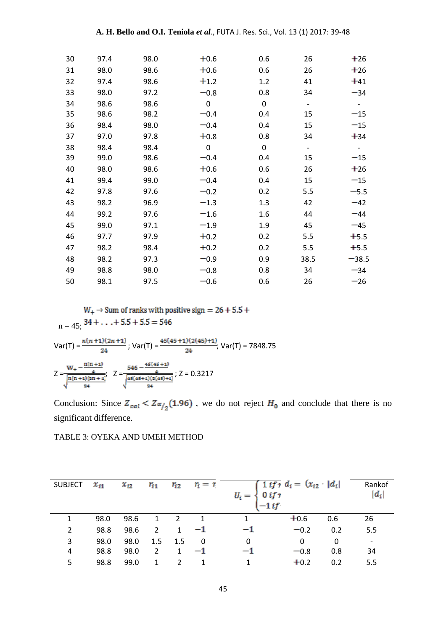| 30 | 97.4 | 98.0 | $+0.6$      | 0.6         | 26                       | $+26$                    |
|----|------|------|-------------|-------------|--------------------------|--------------------------|
| 31 | 98.0 | 98.6 | $+0.6$      | 0.6         | 26                       | $+26$                    |
| 32 | 97.4 | 98.6 | $+1.2$      | 1.2         | 41                       | $+41$                    |
| 33 | 98.0 | 97.2 | $-0.8$      | 0.8         | 34                       | $-34$                    |
| 34 | 98.6 | 98.6 | $\mathbf 0$ | $\mathbf 0$ | $\overline{\phantom{a}}$ | $\overline{\phantom{a}}$ |
| 35 | 98.6 | 98.2 | $-0.4$      | 0.4         | 15                       | $-15$                    |
| 36 | 98.4 | 98.0 | $-0.4$      | 0.4         | 15                       | $-15$                    |
| 37 | 97.0 | 97.8 | $+0.8$      | 0.8         | 34                       | $+34$                    |
| 38 | 98.4 | 98.4 | $\mathbf 0$ | $\mathbf 0$ | $\overline{\phantom{a}}$ |                          |
| 39 | 99.0 | 98.6 | $-0.4$      | 0.4         | 15                       | $-15$                    |
| 40 | 98.0 | 98.6 | $+0.6$      | 0.6         | 26                       | $+26$                    |
| 41 | 99.4 | 99.0 | $-0.4$      | 0.4         | 15                       | $-15$                    |
| 42 | 97.8 | 97.6 | $-0.2$      | 0.2         | 5.5                      | $-5.5$                   |
| 43 | 98.2 | 96.9 | $-1.3$      | 1.3         | 42                       | $-42$                    |
| 44 | 99.2 | 97.6 | $-1.6$      | 1.6         | 44                       | $-44$                    |
| 45 | 99.0 | 97.1 | $-1.9$      | 1.9         | 45                       | $-45$                    |
| 46 | 97.7 | 97.9 | $+0.2$      | 0.2         | 5.5                      | $+5.5$                   |
| 47 | 98.2 | 98.4 | $+0.2$      | 0.2         | 5.5                      | $+5.5$                   |
| 48 | 98.2 | 97.3 | $-0.9$      | 0.9         | 38.5                     | $-38.5$                  |
| 49 | 98.8 | 98.0 | $-0.8$      | 0.8         | 34                       | $-34$                    |
| 50 | 98.1 | 97.5 | $-0.6$      | 0.6         | 26                       | $-26$                    |

 $\mathrm{W}_+ \rightarrow$  Sum of ranks with positive sign  $=26+5.5+$  $n = 45$ ;  $34 + ... + 5.5 + 5.5 = 546$ 

Var(T) = 
$$
\frac{n(n+1)(2n+1)}{24}
$$
; Var(T) =  $\frac{45(45+1)(2(45)+1)}{24}$ ; Var(T) = 7848.75  

$$
Z = \frac{W_{+} - \frac{n(n+1)}{4}}{\sqrt{\frac{n(n+1)(2n+1)}{24}}}
$$
; Z =  $\frac{546 - \frac{45(45+1)}{4}}{\sqrt{\frac{45(45+1)(2(45)+1)}{24}}}$ ; Z = 0.3217

Conclusion: Since  $Z_{cal} < Z_{\alpha/2}(1.96)$ , we do not reject  $H_0$  and conclude that there is no significant difference.

### TABLE 3: OYEKA AND UMEH METHOD

| <b>SUBJECT</b> | $x_{i1}$ | $x_{i2}$ |              |                | $r_{i1}$ $r_{i2}$ $r_i = r_i$ | $U_i = \begin{cases} 0 & if r \\ -1 & if \end{cases}$ | $\int 1$ if $r d_i = (x_{i2} \mid d_i)$ |     | Rankof<br>$ d_i $ |
|----------------|----------|----------|--------------|----------------|-------------------------------|-------------------------------------------------------|-----------------------------------------|-----|-------------------|
| 1              | 98.0     | 98.6     | $\mathbf{1}$ | $\overline{2}$ | $\overline{1}$                | 1                                                     | $+0.6$                                  | 0.6 | 26                |
| 2              | 98.8     | 98.6     | 2            | $\mathbf{1}$   | $-1$                          | $-1$                                                  | $-0.2$                                  | 0.2 | 5.5               |
| 3              | 98.0     | 98.0     |              | $1.5$ 1.5      | $\overline{\phantom{0}}$      | $\mathbf{0}$                                          | $\Omega$                                | 0   |                   |
| 4              | 98.8     | 98.0     | 2            | $\mathbf{1}$   | $-1$                          | $-1$                                                  | $-0.8$                                  | 0.8 | 34                |
| 5              | 98.8     | 99.0     | $\mathbf{1}$ | 2              | 1                             |                                                       | $+0.2$                                  | 0.2 | 5.5               |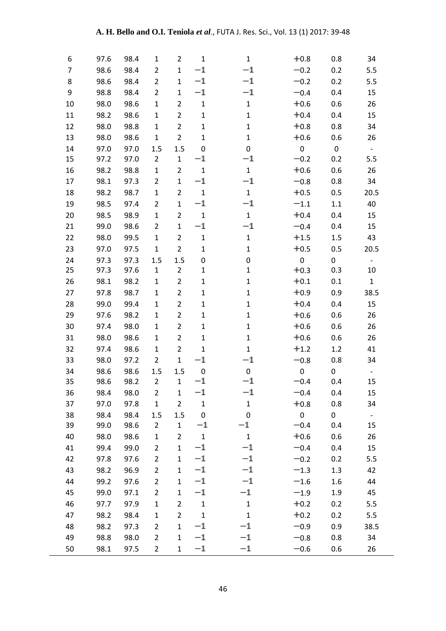| 6  | 97.6 | 98.4 | 1              | 2              | $\mathbf{1}$     | $\mathbf{1}$ | $+0.8$           | 0.8              | 34                       |
|----|------|------|----------------|----------------|------------------|--------------|------------------|------------------|--------------------------|
| 7  | 98.6 | 98.4 | $\overline{2}$ | $\mathbf{1}$   | $^{-1}$          | $-1$         | $-0.2$           | 0.2              | 5.5                      |
| 8  | 98.6 | 98.4 | $\overline{2}$ | $\mathbf{1}$   | $^{-1}$          | $^{-1}$      | $-0.2$           | 0.2              | 5.5                      |
| 9  | 98.8 | 98.4 | $\overline{2}$ | $\mathbf{1}$   | $^{-1}$          | $^{-1}$      | $-0.4$           | 0.4              | 15                       |
| 10 | 98.0 | 98.6 | $\mathbf{1}$   | $\overline{2}$ | $\mathbf{1}$     | $\mathbf 1$  | $+0.6$           | 0.6              | 26                       |
| 11 | 98.2 | 98.6 | $\mathbf{1}$   | $\overline{2}$ | $\mathbf 1$      | $\mathbf 1$  | $+0.4$           | 0.4              | 15                       |
| 12 | 98.0 | 98.8 | $\mathbf{1}$   | $\overline{2}$ | $\mathbf{1}$     | $\mathbf 1$  | $+0.8$           | 0.8              | 34                       |
| 13 | 98.0 | 98.6 | $\mathbf{1}$   | $\overline{2}$ | $\mathbf{1}$     | $\mathbf{1}$ | $+0.6$           | 0.6              | 26                       |
| 14 | 97.0 | 97.0 | 1.5            | 1.5            | $\mathbf 0$      | 0            | $\pmb{0}$        | $\pmb{0}$        | $\overline{\phantom{a}}$ |
| 15 | 97.2 | 97.0 | $\overline{2}$ | $\mathbf{1}$   | $^{-1}$          | $^{-1}$      | $-0.2$           | 0.2              | 5.5                      |
| 16 | 98.2 | 98.8 | $\mathbf{1}$   | $\overline{2}$ | $\mathbf{1}$     | $\mathbf 1$  | $+0.6$           | 0.6              | 26                       |
| 17 | 98.1 | 97.3 | 2              | $\mathbf 1$    | $^{-1}$          | $^{-1}$      | $-0.8$           | 0.8              | 34                       |
| 18 | 98.2 | 98.7 | $\mathbf{1}$   | $\overline{2}$ | $\mathbf{1}$     | $\mathbf 1$  | $+0.5$           | 0.5              | 20.5                     |
| 19 | 98.5 | 97.4 | $\overline{2}$ | $\mathbf{1}$   | $^{-1}$          | $^{-1}$      | $-1.1$           | 1.1              | 40                       |
| 20 | 98.5 | 98.9 | $\mathbf 1$    | $\overline{2}$ | $\mathbf{1}$     | $\mathbf 1$  | $+0.4$           | 0.4              | 15                       |
| 21 | 99.0 | 98.6 | $\overline{2}$ | $\mathbf 1$    | $^{-1}$          | $^{-1}$      | $-0.4$           | 0.4              | 15                       |
| 22 | 98.0 | 99.5 | $\mathbf{1}$   | $\overline{2}$ | $\mathbf{1}$     | $\mathbf 1$  | $+1.5$           | 1.5              | 43                       |
| 23 | 97.0 | 97.5 | $\mathbf{1}$   | $\overline{2}$ | $\mathbf{1}$     | $\mathbf 1$  | $+0.5$           | 0.5              | 20.5                     |
| 24 | 97.3 | 97.3 | 1.5            | 1.5            | $\pmb{0}$        | 0            | $\boldsymbol{0}$ | 0                | $\blacksquare$           |
| 25 | 97.3 | 97.6 | $\mathbf{1}$   | $\overline{2}$ | $\mathbf{1}$     | $\mathbf 1$  | $+0.3$           | 0.3              | $10\,$                   |
| 26 | 98.1 | 98.2 | $\mathbf{1}$   | $\overline{2}$ | $\mathbf{1}$     | $\mathbf{1}$ | $+0.1$           | 0.1              | $\mathbf{1}$             |
| 27 | 97.8 | 98.7 | $\mathbf{1}$   | $\overline{2}$ | $\mathbf{1}$     | $\mathbf 1$  | $+0.9$           | 0.9              | 38.5                     |
| 28 | 99.0 | 99.4 | $\mathbf{1}$   | $\overline{2}$ | $\mathbf{1}$     | $\mathbf 1$  | $+0.4$           | 0.4              | 15                       |
| 29 | 97.6 | 98.2 | $\mathbf{1}$   | $\overline{2}$ | $\mathbf{1}$     | $\mathbf 1$  | $+0.6$           | 0.6              | 26                       |
| 30 | 97.4 | 98.0 | $\mathbf{1}$   | $\overline{2}$ | $\mathbf{1}$     | $\mathbf{1}$ | $+0.6$           | 0.6              | 26                       |
| 31 | 98.0 | 98.6 | 1              | $\overline{2}$ | $\mathbf{1}$     | $\mathbf 1$  | $+0.6$           | 0.6              | 26                       |
| 32 | 97.4 | 98.6 | $\mathbf{1}$   | $\overline{2}$ | $\mathbf{1}$     | $\mathbf{1}$ | $+1.2$           | 1.2              | 41                       |
| 33 | 98.0 | 97.2 | $\overline{2}$ | $\mathbf{1}$   | $^{-1}$          | $^{-1}$      | $-0.8$           | 0.8              | 34                       |
| 34 | 98.6 | 98.6 | 1.5            | 1.5            | $\boldsymbol{0}$ | 0            | $\pmb{0}$        | $\boldsymbol{0}$ |                          |
| 35 | 98.6 | 98.2 | $\overline{2}$ | $\mathbf 1$    | $^{-1}$          | $^{-1}$      | $-0.4$           | 0.4              | 15                       |
| 36 | 98.4 | 98.0 | 2              | $\mathbf{1}$   | $^{-1}$          | $^{-1}$      | $-0.4$           | 0.4              | 15                       |
| 37 | 97.0 | 97.8 | $\mathbf 1$    | $\overline{2}$ | $\mathbf{1}$     | $\mathbf 1$  | $+0.8$           | 0.8              | 34                       |
| 38 | 98.4 | 98.4 | 1.5            | $1.5\,$        | $\pmb{0}$        | $\pmb{0}$    | $\pmb{0}$        | $\boldsymbol{0}$ | $\overline{\phantom{0}}$ |
| 39 | 99.0 | 98.6 | $\overline{2}$ | $\mathbf{1}$   | $^{-1}$          | $^{-1}$      | $-0.4$           | 0.4              | 15                       |
| 40 | 98.0 | 98.6 | $\mathbf 1$    | $\overline{2}$ | $\mathbf{1}$     | $\mathbf{1}$ | $+0.6$           | 0.6              | 26                       |
| 41 | 99.4 | 99.0 | $\overline{2}$ | $\mathbf{1}$   | $^{-1}$          | $^{-1}$      | $-0.4$           | 0.4              | 15                       |
| 42 | 97.8 | 97.6 | $\overline{2}$ | $\mathbf{1}$   | $^{-1}$          | $^{-1}$      | $-0.2$           | 0.2              | 5.5                      |
| 43 | 98.2 | 96.9 | $\overline{2}$ | $\mathbf{1}$   | $^{-1}$          | $^{-1}$      | $-1.3$           | 1.3              | 42                       |
| 44 | 99.2 | 97.6 | $\overline{2}$ | $\mathbf 1$    | $^{-1}$          | $^{-1}$      | $-1.6$           | 1.6              | 44                       |
| 45 | 99.0 | 97.1 | $\overline{2}$ | $\mathbf{1}$   | $^{-1}$          | $^{-1}$      | $-1.9$           | 1.9              | 45                       |
| 46 | 97.7 | 97.9 | $\mathbf 1$    | $\overline{2}$ | $\mathbf 1$      | $\mathbf 1$  | $+0.2$           | 0.2              | 5.5                      |
| 47 | 98.2 | 98.4 | $\mathbf{1}$   | $\overline{2}$ | $\mathbf{1}$     | $\mathbf{1}$ | $+0.2$           | 0.2              | 5.5                      |
| 48 | 98.2 | 97.3 | $\overline{2}$ | $\mathbf 1$    | $^{-1}$          | $^{-1}$      | $-0.9$           | 0.9              | 38.5                     |
| 49 | 98.8 | 98.0 | $\overline{2}$ | $\mathbf{1}$   | $^{-1}$          | $^{-1}$      | $-0.8$           | 0.8              | 34                       |
| 50 | 98.1 | 97.5 | $\overline{2}$ | $\mathbf 1$    | $^{-1}$          | $^{-1}$      | $-0.6$           | 0.6              | 26                       |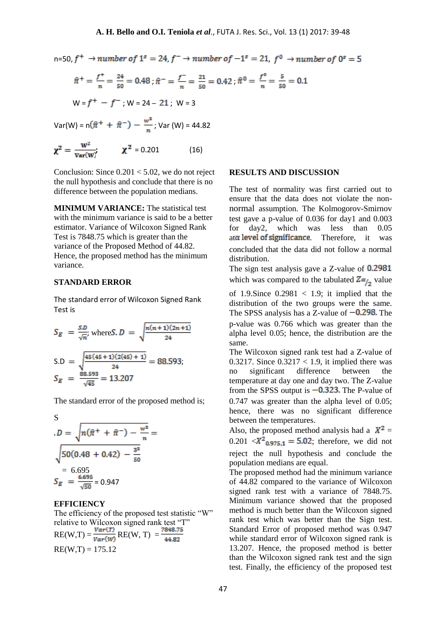n=50,  $f^+ \rightarrow$  number of  $1^s = 24$ ,  $f^- \rightarrow$  number of  $-1^s = 21$ ,  $f^0 \rightarrow$  number of  $0^s = 5$ 

$$
\hat{\pi}^+ = \frac{f^+}{n} = \frac{24}{50} = 0.48 \; ; \; \hat{\pi}^- = \frac{f^-}{n} = \frac{21}{50} = 0.42 \; ; \; \hat{\pi}^0 = \frac{f^0}{n} = \frac{5}{50} = 0.1
$$
\n
$$
W = f^+ - f^- \; ; \; W = 24 - 21 \; ; \; W = 3
$$

Var(W) =  $n(\hat{\pi}^+ + \hat{\pi}^-) - \frac{w^2}{n}$ ; Var (W) = 44.82

$$
\chi^2 = \frac{w^2}{var(w)} \qquad \qquad \chi^2 = 0.201 \tag{16}
$$

Conclusion: Since  $0.201 < 5.02$ , we do not reject the null hypothesis and conclude that there is no difference between the population medians.

**MINIMUM VARIANCE:** The statistical test with the minimum variance is said to be a better estimator. Variance of Wilcoxon Signed Rank Test is 7848.75 which is greater than the variance of the Proposed Method of 44.82. Hence, the proposed method has the minimum variance.

### **STANDARD ERROR**

The standard error of Wilcoxon Signed Rank Test is

$$
S_E = \frac{SD}{\sqrt{n}}, \text{ where } S.D = \sqrt{\frac{n(n+1)(2n+1)}{24}}
$$
  
\n
$$
S.D = \sqrt{\frac{45(45+1)(2(45)+1)}{24}} = 88.593;
$$
  
\n
$$
S_E = \frac{88.593}{\sqrt{45}} = 13.207
$$

The standard error of the proposed method is;

S  
\n
$$
D = \sqrt{n(\hat{\pi}^+ + \hat{\pi}^-) - \frac{w^2}{n}} = \sqrt{50(0.48 + 0.42) - \frac{3^2}{50}} = 6.695
$$
\n
$$
S_E = \frac{6.695}{\sqrt{50}} = 0.947
$$

#### **EFFICIENCY**

The efficiency of the proposed test statistic "W" relative to Wilcoxon signed rank test "T" RE(W,T) =  $\frac{Var(T)}{Var(W)}$  RE(W, T) =  $\frac{7848.75}{44.82}$  $RE(W,T) = 175.12$ 

#### **RESULTS AND DISCUSSION**

The test of normality was first carried out to ensure that the data does not violate the nonnormal assumption. The Kolmogorov-Smirnov test gave a p-value of 0.036 for day1 and 0.003 for day2, which was less than 0.05  $a\alpha$  level of significance. Therefore, it was concluded that the data did not follow a normal distribution.

The sign test analysis gave a Z-value of 0.2981 which was compared to the tabulated  $Z_{\alpha_{12}}$  value

of 1.9.Since  $0.2981 < 1.9$ ; it implied that the distribution of the two groups were the same. The SPSS analysis has a Z-value of  $-0.298$ . The p-value was 0.766 which was greater than the alpha level 0.05; hence, the distribution are the same.

The Wilcoxon signed rank test had a Z-value of 0.3217. Since  $0.3217 < 1.9$ , it implied there was no significant difference between the temperature at day one and day two. The Z-value from the SPSS output is  $-0.323$ . The P-value of 0.747 was greater than the alpha level of 0.05; hence, there was no significant difference between the temperatures.

Also, the proposed method analysis had a  $X^2 =$  $0.201 \ll X^2_{0.975,1} = 5.02$ ; therefore, we did not reject the null hypothesis and conclude the population medians are equal.

The proposed method had the minimum variance of 44.82 compared to the variance of Wilcoxon signed rank test with a variance of 7848.75. Minimum variance showed that the proposed method is much better than the Wilcoxon signed rank test which was better than the Sign test. Standard Error of proposed method was 0.947 while standard error of Wilcoxon signed rank is 13.207. Hence, the proposed method is better than the Wilcoxon signed rank test and the sign test. Finally, the efficiency of the proposed test